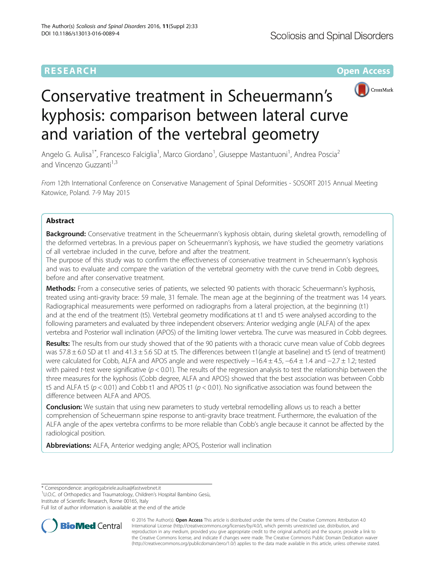## **RESEARCH CHEAR CHEAR CHEAR CHEAR CHEAR CHEAR CHEAR CHEAR CHEAR CHEAR CHEAR CHEAR CHEAR CHEAR CHEAR CHEAR CHEAR**



# Conservative treatment in Scheuermann's kyphosis: comparison between lateral curve and variation of the vertebral geometry

Angelo G. Aulisa<sup>1\*</sup>, Francesco Falciglia<sup>1</sup>, Marco Giordano<sup>1</sup>, Giuseppe Mastantuoni<sup>1</sup>, Andrea Poscia<sup>2</sup> and Vincenzo Guzzanti<sup>1,3</sup>

From 12th International Conference on Conservative Management of Spinal Deformities - SOSORT 2015 Annual Meeting Katowice, Poland. 7-9 May 2015

## Abstract

Background: Conservative treatment in the Scheuermann's kyphosis obtain, during skeletal growth, remodelling of the deformed vertebras. In a previous paper on Scheuermann's kyphosis, we have studied the geometry variations of all vertebrae included in the curve, before and after the treatment.

The purpose of this study was to confirm the effectiveness of conservative treatment in Scheuermann's kyphosis and was to evaluate and compare the variation of the vertebral geometry with the curve trend in Cobb degrees, before and after conservative treatment.

Methods: From a consecutive series of patients, we selected 90 patients with thoracic Scheuermann's kyphosis, treated using anti-gravity brace: 59 male, 31 female. The mean age at the beginning of the treatment was 14 years. Radiographical measurements were performed on radiographs from a lateral projection, at the beginning (t1) and at the end of the treatment (t5). Vertebral geometry modifications at t1 and t5 were analysed according to the following parameters and evaluated by three independent observers: Anterior wedging angle (ALFA) of the apex vertebra and Posterior wall inclination (APOS) of the limiting lower vertebra. The curve was measured in Cobb degrees.

Results: The results from our study showed that of the 90 patients with a thoracic curve mean value of Cobb degrees was  $57.8 \pm 6.0$  SD at t1 and  $41.3 \pm 5.6$  SD at t5. The differences between t1(angle at baseline) and t5 (end of treatment) were calculated for Cobb, ALFA and APOS angle and were respectively −16.4 ± 4.5, −6.4 ± 1.4 and −2.7 ± 1.2; tested with paired t-test were significative ( $p < 0.01$ ). The results of the regression analysis to test the relationship between the three measures for the kyphosis (Cobb degree, ALFA and APOS) showed that the best association was between Cobb t5 and ALFA t5 ( $p < 0.01$ ) and Cobb t1 and APOS t1 ( $p < 0.01$ ). No significative association was found between the difference between ALFA and APOS.

**Conclusion:** We sustain that using new parameters to study vertebral remodelling allows us to reach a better comprehension of Scheuermann spine response to anti-gravity brace treatment. Furthermore, the evaluation of the ALFA angle of the apex vertebra confirms to be more reliable than Cobb's angle because it cannot be affected by the radiological position.

Abbreviations: ALFA, Anterior wedging angle; APOS, Posterior wall inclination

\* Correspondence: [angelogabriele.aulisa@fastwebnet.it](mailto:angelogabriele.aulisa@fastwebnet.it) <sup>1</sup>

<sup>1</sup>U.O.C. of Orthopedics and Traumatology, Children's Hospital Bambino Gesù, Institute of Scientific Research, Rome 00165, Italy

Full list of author information is available at the end of the article



© 2016 The Author(s). Open Access This article is distributed under the terms of the Creative Commons Attribution 4.0 International License [\(http://creativecommons.org/licenses/by/4.0/](http://creativecommons.org/licenses/by/4.0/)), which permits unrestricted use, distribution, and reproduction in any medium, provided you give appropriate credit to the original author(s) and the source, provide a link to the Creative Commons license, and indicate if changes were made. The Creative Commons Public Domain Dedication waiver [\(http://creativecommons.org/publicdomain/zero/1.0/](http://creativecommons.org/publicdomain/zero/1.0/)) applies to the data made available in this article, unless otherwise stated.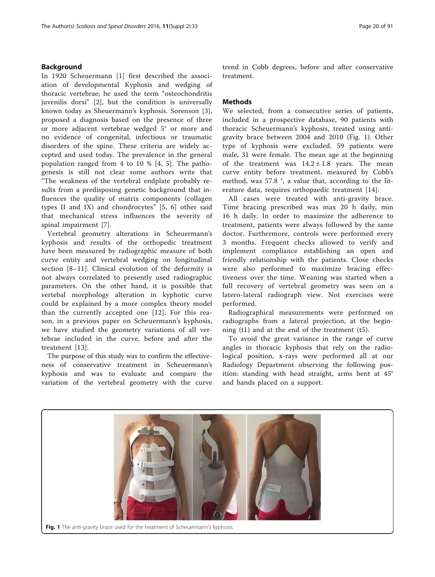## <span id="page-1-0"></span>Background

In 1920 Scheuermann [[1\]](#page-4-0) first described the association of developmental Kyphosis and wedging of thoracic vertebrae; he used the term "osteochondritis juvenilis dorsi" [\[2](#page-4-0)], but the condition is universally known today as Sheuermann's kyphosis. Sorenson [[3](#page-4-0)], proposed a diagnosis based on the presence of three or more adjacent vertebrae wedged 5° or more and no evidence of congenital, infectious or traumatic disorders of the spine. These criteria are widely accepted and used today. The prevalence in the general population ranged from 4 to 10 % [\[4, 5](#page-4-0)]. The pathogenesis is still not clear some authors write that "The weakness of the vertebral endplate probably results from a predisposing genetic background that influences the quality of matrix components (collagen types II and IX) and chondrocytes" [[5, 6\]](#page-4-0) other said that mechanical stress influences the severity of spinal impairment [[7\]](#page-4-0).

Vertebral geometry alterations in Scheuermann's kyphosis and results of the orthopedic treatment have been measured by radiographic measure of both curve entity and vertebral wedging on longitudinal section [[8](#page-4-0)–[11\]](#page-4-0). Clinical evolution of the deformity is not always correlated to presently used radiographic parameters. On the other hand, it is possible that vertebal morphology alteration in kyphotic curve could be explained by a more complex theory model than the currently accepted one [\[12\]](#page-4-0). For this reason, in a previous paper on Scheuermann's kyphosis, we have studied the geometry variations of all vertebrae included in the curve, before and after the treatment [[13\]](#page-4-0).

The purpose of this study was to confirm the effectiveness of conservative treatment in Scheuermann's kyphosis and was to evaluate and compare the variation of the vertebral geometry with the curve

trend in Cobb degrees, before and after conservative treatment.

## **Methods**

We selected, from a consecutive series of patients, included in a prospective database, 90 patients with thoracic Scheuermann's kyphosis, treated using antigravity brace between 2004 and 2010 (Fig. 1). Other type of kyphosis were excluded. 59 patients were male, 31 were female. The mean age at the beginning of the treatment was  $14.2 \pm 1.8$  years. The mean curve entity before treatment, measured by Cobb's method, was 57.8 °, a value that, according to the literature data, requires orthopaedic treatment [[14\]](#page-4-0).

All cases were treated with anti-gravity brace. Time bracing prescribed was max 20 h daily, min 16 h daily. In order to maximize the adherence to treatment, patients were always followed by the same doctor. Furthermore, controls were performed every 3 months. Frequent checks allowed to verify and implement compliance establishing an open and friendly relationship with the patients. Close checks were also performed to maximize bracing effectiveness over the time. Weaning was started when a full recovery of vertebral geometry was seen on a latero-lateral radiograph view. Not exercises were performed.

Radiographical measurements were performed on radiographs from a lateral projection, at the beginning (t1) and at the end of the treatment (t5).

To avoid the great variance in the range of curve angles in thoracic kyphosis that rely on the radiological position, x-rays were performed all at our Radiology Department observing the following position: standing with head straight, arms bent at 45° and hands placed on a support.



Fig. 1 The anti-gravity brace used for the treatment of Scheuermann's kyphosis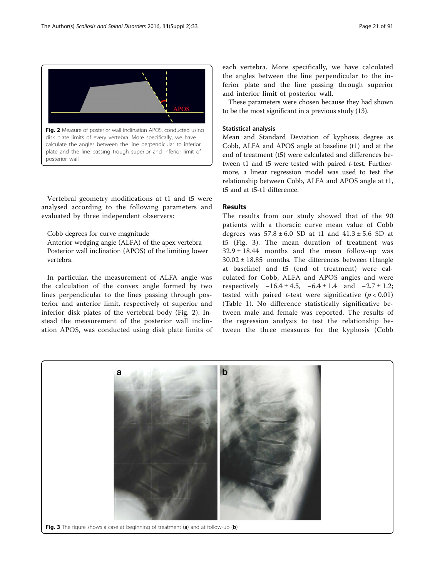

Vertebral geometry modifications at t1 and t5 were analysed according to the following parameters and evaluated by three independent observers:

Cobb degrees for curve magnitude Anterior wedging angle (ALFA) of the apex vertebra Posterior wall inclination (APOS) of the limiting lower vertebra.

In particular, the measurement of ALFA angle was the calculation of the convex angle formed by two lines perpendicular to the lines passing through posterior and anterior limit, respectively of superior and inferior disk plates of the vertebral body (Fig. 2). Instead the measurement of the posterior wall inclination APOS, was conducted using disk plate limits of each vertebra. More specifically, we have calculated the angles between the line perpendicular to the inferior plate and the line passing through superior and inferior limit of posterior wall.

These parameters were chosen because they had shown to be the most significant in a previous study (13).

## Statistical analysis

Mean and Standard Deviation of kyphosis degree as Cobb, ALFA and APOS angle at baseline (t1) and at the end of treatment (t5) were calculated and differences between t1 and t5 were tested with paired t-test. Furthermore, a linear regression model was used to test the relationship between Cobb, ALFA and APOS angle at t1, t5 and at t5-t1 difference.

## Results

The results from our study showed that of the 90 patients with a thoracic curve mean value of Cobb degrees was  $57.8 \pm 6.0$  SD at t1 and  $41.3 \pm 5.6$  SD at t5 (Fig. 3). The mean duration of treatment was  $32.9 \pm 18.44$  months and the mean follow-up was  $30.02 \pm 18.85$  months. The differences between t1(angle at baseline) and t5 (end of treatment) were calculated for Cobb, ALFA and APOS angles and were respectively  $-16.4 \pm 4.5$ ,  $-6.4 \pm 1.4$  and  $-2.7 \pm 1.2$ ; tested with paired *t*-test were significative  $(p < 0.01)$ (Table [1](#page-3-0)). No difference statistically significative between male and female was reported. The results of the regression analysis to test the relationship between the three measures for the kyphosis (Cobb

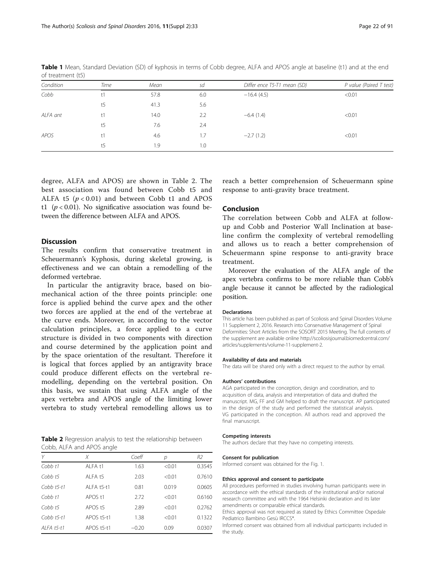| Condition | Time | Mean | sd  | Differ ence T5-T1 mean (SD) | P value (Paired T test) |
|-----------|------|------|-----|-----------------------------|-------------------------|
| Cobb      | t1   | 57.8 | 6.0 | $-16.4(4.5)$                | < 0.01                  |
|           | t5   | 41.3 | 5.6 |                             |                         |
| ALFA ant  | t1   | 14.0 | 2.2 | $-6.4(1.4)$                 | < 0.01                  |
|           | t5   | 7.6  | 2.4 |                             |                         |
| APOS      | t1   | 4.6  | 1.7 | $-2.7(1.2)$                 | < 0.01                  |
|           | t5   | 1.9  | 1.0 |                             |                         |

<span id="page-3-0"></span>Table 1 Mean, Standard Deviation (SD) of kyphosis in terms of Cobb degree, ALFA and APOS angle at baseline (t1) and at the end of treatment (t5)

degree, ALFA and APOS) are shown in Table 2. The best association was found between Cobb t5 and ALFA t5  $(p < 0.01)$  and between Cobb t1 and APOS t1 ( $p < 0.01$ ). No significative association was found between the difference between ALFA and APOS.

## Discussion

The results confirm that conservative treatment in Scheuermann's Kyphosis, during skeletal growing, is effectiveness and we can obtain a remodelling of the deformed vertebrae.

In particular the antigravity brace, based on biomechanical action of the three points principle: one force is applied behind the curve apex and the other two forces are applied at the end of the vertebrae at the curve ends. Moreover, in according to the vector calculation principles, a force applied to a curve structure is divided in two components with direction and course determined by the application point and by the space orientation of the resultant. Therefore it is logical that forces applied by an antigravity brace could produce different effects on the vertebral remodelling, depending on the vertebral position. On this basis, we sustain that using ALFA angle of the apex vertebra and APOS angle of the limiting lower vertebra to study vertebral remodelling allows us to

Table 2 Regression analysis to test the relationship between Cobb, ALFA and APOS angle

| Υ                   | X                  | Coeff   | р      | R2     |
|---------------------|--------------------|---------|--------|--------|
| Cobb <sub>t1</sub>  | AI FA t1           | 1.63    | < 0.01 | 0.3545 |
| $Cobb$ t5           | AI FA t5           | 2.03    | < 0.01 | 0.7610 |
| $Cobb$ t5-t1        | AI FA t5-t1        | 0.81    | 0.019  | 0.0605 |
| C <sub>obb</sub> t1 | APOS <sub>t1</sub> | 2.72    | < 0.01 | 0.6160 |
| $Cobb$ t5           | APOS <sub>t5</sub> | 2.89    | < 0.01 | 0.2762 |
| $C$ obb $t$ 5-t1    | APOS t5-t1         | 1.38    | < 0.01 | 0.1322 |
| ALFA t5-t1          | APOS t5-t1         | $-0.20$ | 0.09   | 0.0307 |

reach a better comprehension of Scheuermann spine response to anti-gravity brace treatment.

## Conclusion

The correlation between Cobb and ALFA at followup and Cobb and Posterior Wall Inclination at baseline confirm the complexity of vertebral remodelling and allows us to reach a better comprehension of Scheuermann spine response to anti-gravity brace treatment.

Moreover the evaluation of the ALFA angle of the apex vertebra confirms to be more reliable than Cobb's angle because it cannot be affected by the radiological position.

#### Declarations

This article has been published as part of Scoliosis and Spinal Disorders Volume 11 Supplement 2, 2016. Research into Conservative Management of Spinal Deformities: Short Articles from the SOSORT 2015 Meeting. The full contents of the supplement are available online [http://scoliosisjournal.biomedcentral.com/](http://scoliosisjournal.biomedcentral.com/articles/supplements/volume-11-supplement-2) [articles/supplements/volume-11-supplement-2.](http://scoliosisjournal.biomedcentral.com/articles/supplements/volume-11-supplement-2)

#### Availability of data and materials

The data will be shared only with a direct request to the author by email.

#### Authors' contributions

AGA participated in the conception, design and coordination, and to acquisition of data, analysis and interpretation of data and drafted the manuscript. MG, FF and GM helped to draft the manuscript. AP participated in the design of the study and performed the statistical analysis. VG participated in the conception. All authors read and approved the final manuscript.

#### Competing interests

The authors declare that they have no competing interests.

#### Consent for publication

Informed consent was obtained for the Fig. [1](#page-1-0).

#### Ethics approval and consent to participate

All procedures performed in studies involving human participants were in accordance with the ethical standards of the institutional and/or national research committee and with the 1964 Helsinki declaration and its later amendments or comparable ethical standards.

Ethics approval was not required as stated by Ethics Committee Ospedale Pediatrico Bambino Gesù IRCCS\*.

Informed consent was obtained from all individual participants included in the study.